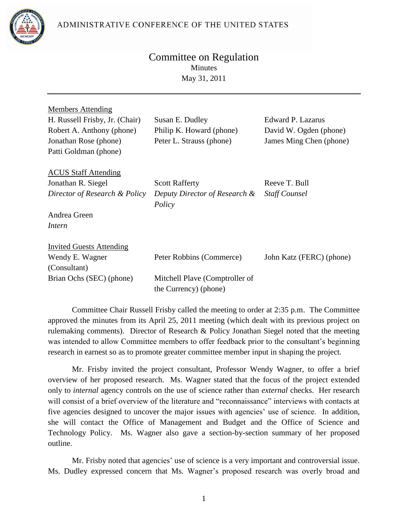ADMINISTRATIVE CONFERENCE OF THE UNITED STATES



## Committee on Regulation Minutes May 31, 2011

| <b>Members Attending</b><br>H. Russell Frisby, Jr. (Chair)<br>Robert A. Anthony (phone)<br>Jonathan Rose (phone)<br>Patti Goldman (phone) | Susan E. Dudley<br>Philip K. Howard (phone)<br>Peter L. Strauss (phone)             | Edward P. Lazarus<br>David W. Ogden (phone)<br>James Ming Chen (phone) |
|-------------------------------------------------------------------------------------------------------------------------------------------|-------------------------------------------------------------------------------------|------------------------------------------------------------------------|
| <b>ACUS Staff Attending</b><br>Jonathan R. Siegel<br>Director of Research & Policy<br>Andrea Green<br>Intern                              | <b>Scott Rafferty</b><br>Deputy Director of Research &<br>Policy                    | Reeve T. Bull<br><b>Staff Counsel</b>                                  |
| <b>Invited Guests Attending</b><br>Wendy E. Wagner<br>(Consultant)<br>Brian Ochs (SEC) (phone)                                            | Peter Robbins (Commerce)<br>Mitchell Playe (Comptroller of<br>the Currency) (phone) | John Katz (FERC) (phone)                                               |

Committee Chair Russell Frisby called the meeting to order at 2:35 p.m. The Committee approved the minutes from its April 25, 2011 meeting (which dealt with its previous project on rulemaking comments). Director of Research & Policy Jonathan Siegel noted that the meeting was intended to allow Committee members to offer feedback prior to the consultant's beginning research in earnest so as to promote greater committee member input in shaping the project.

Mr. Frisby invited the project consultant, Professor Wendy Wagner, to offer a brief overview of her proposed research. Ms. Wagner stated that the focus of the project extended only to *internal* agency controls on the use of science rather than *external* checks. Her research will consist of a brief overview of the literature and "reconnaissance" interviews with contacts at five agencies designed to uncover the major issues with agencies' use of science. In addition, she will contact the Office of Management and Budget and the Office of Science and Technology Policy. Ms. Wagner also gave a section-by-section summary of her proposed outline.

Mr. Frisby noted that agencies' use of science is a very important and controversial issue. Ms. Dudley expressed concern that Ms. Wagner's proposed research was overly broad and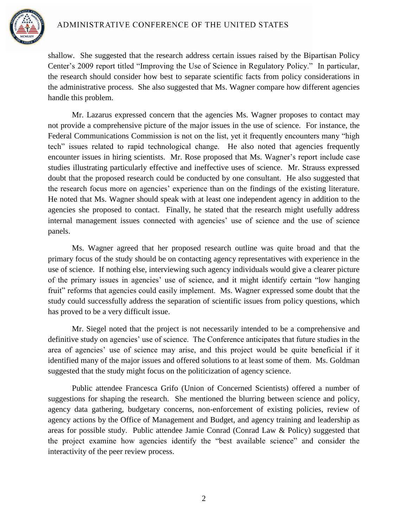

shallow. She suggested that the research address certain issues raised by the Bipartisan Policy Center's 2009 report titled "Improving the Use of Science in Regulatory Policy." In particular, the research should consider how best to separate scientific facts from policy considerations in the administrative process. She also suggested that Ms. Wagner compare how different agencies handle this problem.

Mr. Lazarus expressed concern that the agencies Ms. Wagner proposes to contact may not provide a comprehensive picture of the major issues in the use of science. For instance, the Federal Communications Commission is not on the list, yet it frequently encounters many "high tech" issues related to rapid technological change. He also noted that agencies frequently encounter issues in hiring scientists. Mr. Rose proposed that Ms. Wagner's report include case studies illustrating particularly effective and ineffective uses of science. Mr. Strauss expressed doubt that the proposed research could be conducted by one consultant. He also suggested that the research focus more on agencies' experience than on the findings of the existing literature. He noted that Ms. Wagner should speak with at least one independent agency in addition to the agencies she proposed to contact. Finally, he stated that the research might usefully address internal management issues connected with agencies' use of science and the use of science panels.

Ms. Wagner agreed that her proposed research outline was quite broad and that the primary focus of the study should be on contacting agency representatives with experience in the use of science. If nothing else, interviewing such agency individuals would give a clearer picture of the primary issues in agencies' use of science, and it might identify certain "low hanging fruit" reforms that agencies could easily implement. Ms. Wagner expressed some doubt that the study could successfully address the separation of scientific issues from policy questions, which has proved to be a very difficult issue.

Mr. Siegel noted that the project is not necessarily intended to be a comprehensive and definitive study on agencies' use of science. The Conference anticipates that future studies in the area of agencies' use of science may arise, and this project would be quite beneficial if it identified many of the major issues and offered solutions to at least some of them. Ms. Goldman suggested that the study might focus on the politicization of agency science.

Public attendee Francesca Grifo (Union of Concerned Scientists) offered a number of suggestions for shaping the research. She mentioned the blurring between science and policy, agency data gathering, budgetary concerns, non-enforcement of existing policies, review of agency actions by the Office of Management and Budget, and agency training and leadership as areas for possible study. Public attendee Jamie Conrad (Conrad Law & Policy) suggested that the project examine how agencies identify the "best available science" and consider the interactivity of the peer review process.